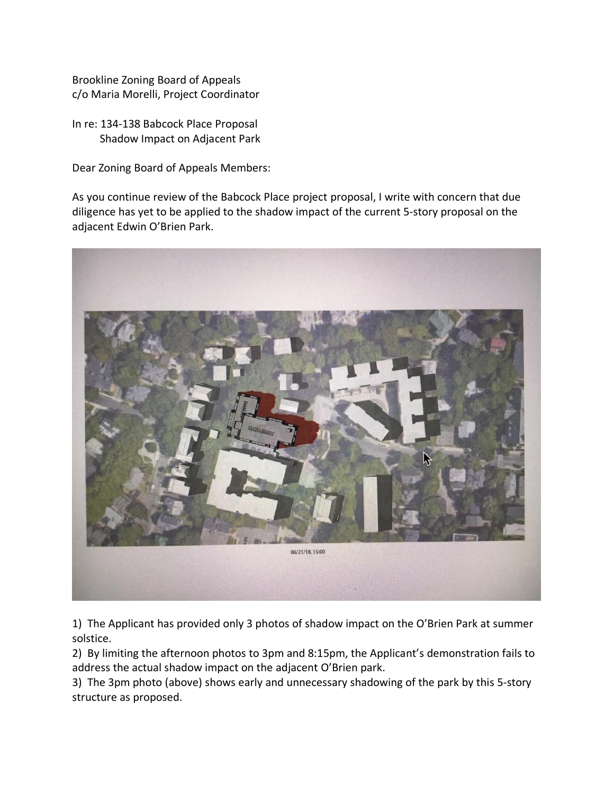Brookline Zoning Board of Appeals c/o Maria Morelli, Project Coordinator

In re: 134-138 Babcock Place Proposal Shadow Impact on Adjacent Park

Dear Zoning Board of Appeals Members:

As you continue review of the Babcock Place project proposal, I write with concern that due diligence has yet to be applied to the shadow impact of the current 5-story proposal on the adjacent Edwin O'Brien Park.



1) The Applicant has provided only 3 photos of shadow impact on the O'Brien Park at summer solstice.

2) By limiting the afternoon photos to 3pm and 8:15pm, the Applicant's demonstration fails to address the actual shadow impact on the adjacent O'Brien park.

3) The 3pm photo (above) shows early and unnecessary shadowing of the park by this 5-story structure as proposed.